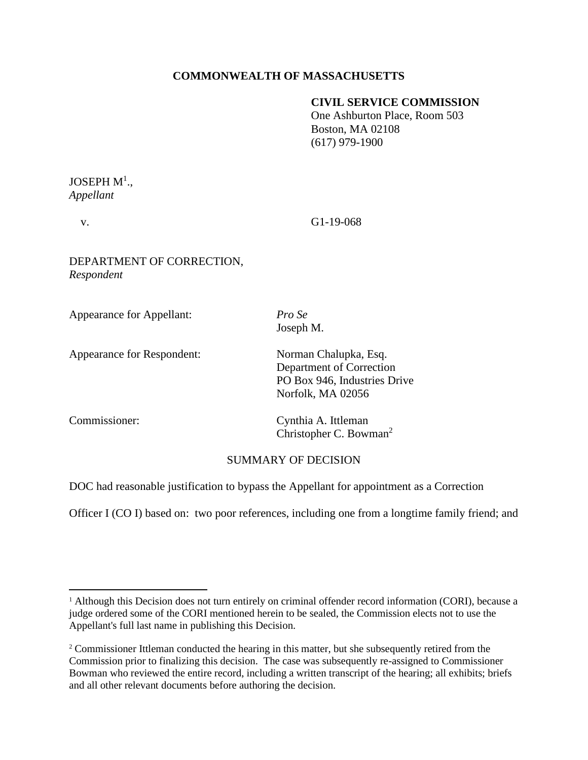# **COMMONWEALTH OF MASSACHUSETTS**

## **CIVIL SERVICE COMMISSION**

One Ashburton Place, Room 503 Boston, MA 02108 (617) 979-1900

# JOSEPH  $\mathbf{M}^{1}$ ., *Appellant*

v. G1-19-068

## DEPARTMENT OF CORRECTION, *Respondent*

| <b>Appearance for Appellant:</b>  | Pro Se<br>Joseph M.                                                                                    |
|-----------------------------------|--------------------------------------------------------------------------------------------------------|
| <b>Appearance for Respondent:</b> | Norman Chalupka, Esq.<br>Department of Correction<br>PO Box 946, Industries Drive<br>Norfolk, MA 02056 |
| Commissioner:                     | Cynthia A. Ittleman<br>Christopher C. Bowman <sup>2</sup>                                              |
|                                   |                                                                                                        |

# SUMMARY OF DECISION

DOC had reasonable justification to bypass the Appellant for appointment as a Correction

Officer I (CO I) based on: two poor references, including one from a longtime family friend; and

<sup>&</sup>lt;sup>1</sup> Although this Decision does not turn entirely on criminal offender record information (CORI), because a judge ordered some of the CORI mentioned herein to be sealed, the Commission elects not to use the Appellant's full last name in publishing this Decision.

<sup>&</sup>lt;sup>2</sup> Commissioner Ittleman conducted the hearing in this matter, but she subsequently retired from the Commission prior to finalizing this decision. The case was subsequently re-assigned to Commissioner Bowman who reviewed the entire record, including a written transcript of the hearing; all exhibits; briefs and all other relevant documents before authoring the decision.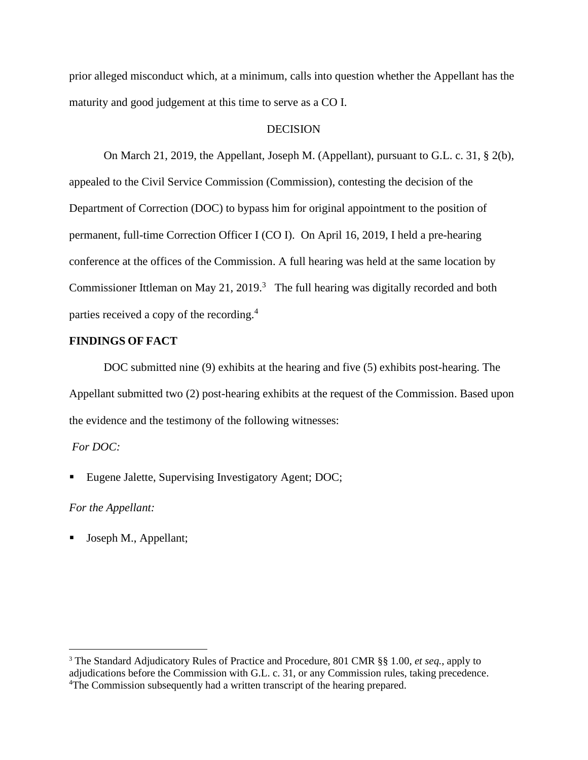prior alleged misconduct which, at a minimum, calls into question whether the Appellant has the maturity and good judgement at this time to serve as a CO I.

### DECISION

On March 21, 2019, the Appellant, Joseph M. (Appellant), pursuant to G.L. c. 31, § 2(b), appealed to the Civil Service Commission (Commission), contesting the decision of the Department of Correction (DOC) to bypass him for original appointment to the position of permanent, full-time Correction Officer I (CO I). On April 16, 2019, I held a pre-hearing conference at the offices of the Commission. A full hearing was held at the same location by Commissioner Ittleman on May 21, 2019.<sup>3</sup> The full hearing was digitally recorded and both parties received a copy of the recording.<sup>4</sup>

## **FINDINGS OF FACT**

 DOC submitted nine (9) exhibits at the hearing and five (5) exhibits post-hearing. The Appellant submitted two (2) post-hearing exhibits at the request of the Commission. Based upon the evidence and the testimony of the following witnesses:

## *For DOC:*

■ Eugene Jalette, Supervising Investigatory Agent; DOC;

### *For the Appellant:*

■ Joseph M., Appellant;

<sup>3</sup> The Standard Adjudicatory Rules of Practice and Procedure, 801 CMR §§ 1.00, *et seq.*, apply to adjudications before the Commission with G.L. c. 31, or any Commission rules, taking precedence. <sup>4</sup>The Commission subsequently had a written transcript of the hearing prepared.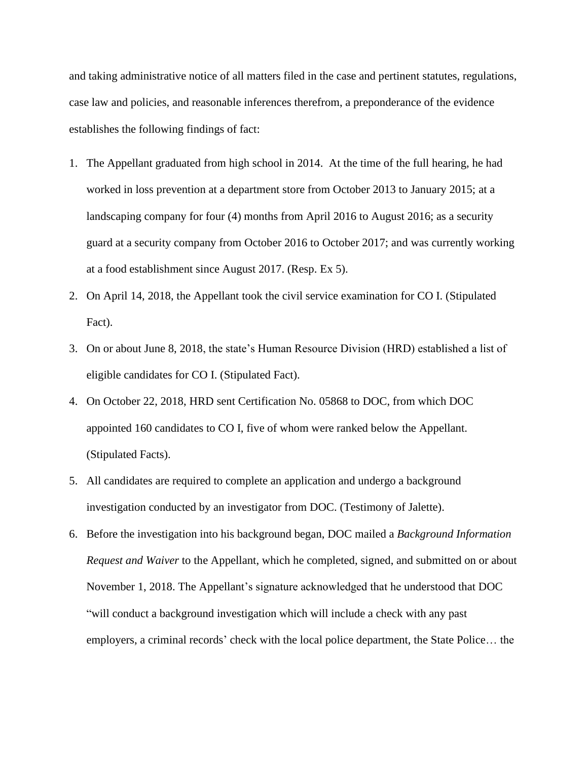and taking administrative notice of all matters filed in the case and pertinent statutes, regulations, case law and policies, and reasonable inferences therefrom, a preponderance of the evidence establishes the following findings of fact:

- 1. The Appellant graduated from high school in 2014. At the time of the full hearing, he had worked in loss prevention at a department store from October 2013 to January 2015; at a landscaping company for four (4) months from April 2016 to August 2016; as a security guard at a security company from October 2016 to October 2017; and was currently working at a food establishment since August 2017. (Resp. Ex 5).
- 2. On April 14, 2018, the Appellant took the civil service examination for CO I. (Stipulated Fact).
- 3. On or about June 8, 2018, the state's Human Resource Division (HRD) established a list of eligible candidates for CO I. (Stipulated Fact).
- 4. On October 22, 2018, HRD sent Certification No. 05868 to DOC, from which DOC appointed 160 candidates to CO I, five of whom were ranked below the Appellant. (Stipulated Facts).
- 5. All candidates are required to complete an application and undergo a background investigation conducted by an investigator from DOC. (Testimony of Jalette).
- 6. Before the investigation into his background began, DOC mailed a *Background Information Request and Waiver* to the Appellant, which he completed, signed, and submitted on or about November 1, 2018. The Appellant's signature acknowledged that he understood that DOC "will conduct a background investigation which will include a check with any past employers, a criminal records' check with the local police department, the State Police… the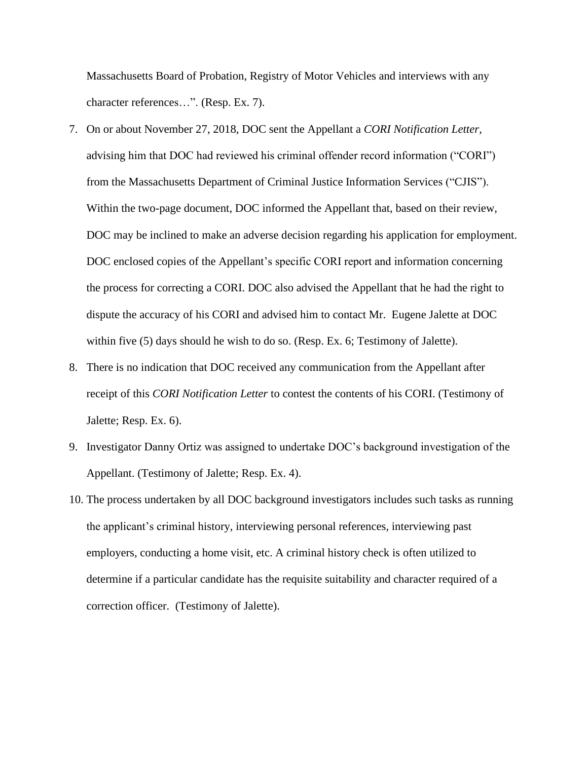Massachusetts Board of Probation, Registry of Motor Vehicles and interviews with any character references…". (Resp. Ex. 7).

- 7. On or about November 27, 2018, DOC sent the Appellant a *CORI Notification Letter*, advising him that DOC had reviewed his criminal offender record information ("CORI") from the Massachusetts Department of Criminal Justice Information Services ("CJIS"). Within the two-page document, DOC informed the Appellant that, based on their review, DOC may be inclined to make an adverse decision regarding his application for employment. DOC enclosed copies of the Appellant's specific CORI report and information concerning the process for correcting a CORI. DOC also advised the Appellant that he had the right to dispute the accuracy of his CORI and advised him to contact Mr. Eugene Jalette at DOC within five (5) days should he wish to do so. (Resp. Ex. 6; Testimony of Jalette).
- 8. There is no indication that DOC received any communication from the Appellant after receipt of this *CORI Notification Letter* to contest the contents of his CORI. (Testimony of Jalette; Resp. Ex. 6).
- 9. Investigator Danny Ortiz was assigned to undertake DOC's background investigation of the Appellant. (Testimony of Jalette; Resp. Ex. 4).
- 10. The process undertaken by all DOC background investigators includes such tasks as running the applicant's criminal history, interviewing personal references, interviewing past employers, conducting a home visit, etc. A criminal history check is often utilized to determine if a particular candidate has the requisite suitability and character required of a correction officer. (Testimony of Jalette).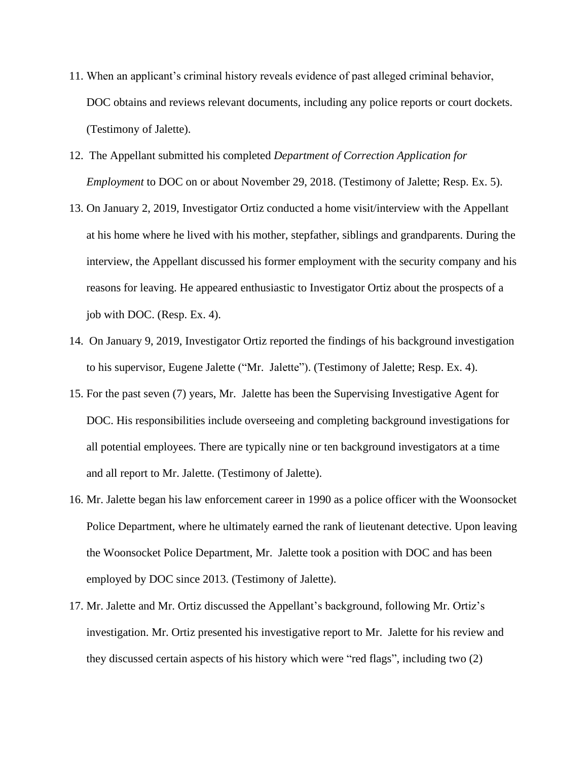- 11. When an applicant's criminal history reveals evidence of past alleged criminal behavior, DOC obtains and reviews relevant documents, including any police reports or court dockets. (Testimony of Jalette).
- 12. The Appellant submitted his completed *Department of Correction Application for Employment* to DOC on or about November 29, 2018. (Testimony of Jalette; Resp. Ex. 5).
- 13. On January 2, 2019, Investigator Ortiz conducted a home visit/interview with the Appellant at his home where he lived with his mother, stepfather, siblings and grandparents. During the interview, the Appellant discussed his former employment with the security company and his reasons for leaving. He appeared enthusiastic to Investigator Ortiz about the prospects of a job with DOC. (Resp. Ex. 4).
- 14. On January 9, 2019, Investigator Ortiz reported the findings of his background investigation to his supervisor, Eugene Jalette ("Mr. Jalette"). (Testimony of Jalette; Resp. Ex. 4).
- 15. For the past seven (7) years, Mr. Jalette has been the Supervising Investigative Agent for DOC. His responsibilities include overseeing and completing background investigations for all potential employees. There are typically nine or ten background investigators at a time and all report to Mr. Jalette. (Testimony of Jalette).
- 16. Mr. Jalette began his law enforcement career in 1990 as a police officer with the Woonsocket Police Department, where he ultimately earned the rank of lieutenant detective. Upon leaving the Woonsocket Police Department, Mr. Jalette took a position with DOC and has been employed by DOC since 2013. (Testimony of Jalette).
- 17. Mr. Jalette and Mr. Ortiz discussed the Appellant's background, following Mr. Ortiz's investigation. Mr. Ortiz presented his investigative report to Mr. Jalette for his review and they discussed certain aspects of his history which were "red flags", including two (2)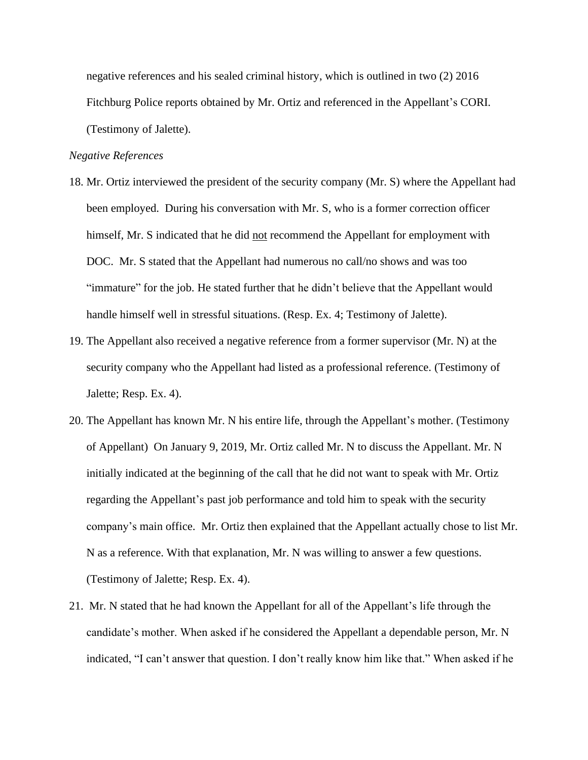negative references and his sealed criminal history, which is outlined in two (2) 2016 Fitchburg Police reports obtained by Mr. Ortiz and referenced in the Appellant's CORI. (Testimony of Jalette).

### *Negative References*

- 18. Mr. Ortiz interviewed the president of the security company (Mr. S) where the Appellant had been employed. During his conversation with Mr. S, who is a former correction officer himself, Mr. S indicated that he did not recommend the Appellant for employment with DOC. Mr. S stated that the Appellant had numerous no call/no shows and was too "immature" for the job. He stated further that he didn't believe that the Appellant would handle himself well in stressful situations. (Resp. Ex. 4; Testimony of Jalette).
- 19. The Appellant also received a negative reference from a former supervisor (Mr. N) at the security company who the Appellant had listed as a professional reference. (Testimony of Jalette; Resp. Ex. 4).
- 20. The Appellant has known Mr. N his entire life, through the Appellant's mother. (Testimony of Appellant) On January 9, 2019, Mr. Ortiz called Mr. N to discuss the Appellant. Mr. N initially indicated at the beginning of the call that he did not want to speak with Mr. Ortiz regarding the Appellant's past job performance and told him to speak with the security company's main office. Mr. Ortiz then explained that the Appellant actually chose to list Mr. N as a reference. With that explanation, Mr. N was willing to answer a few questions. (Testimony of Jalette; Resp. Ex. 4).
- 21. Mr. N stated that he had known the Appellant for all of the Appellant's life through the candidate's mother. When asked if he considered the Appellant a dependable person, Mr. N indicated, "I can't answer that question. I don't really know him like that." When asked if he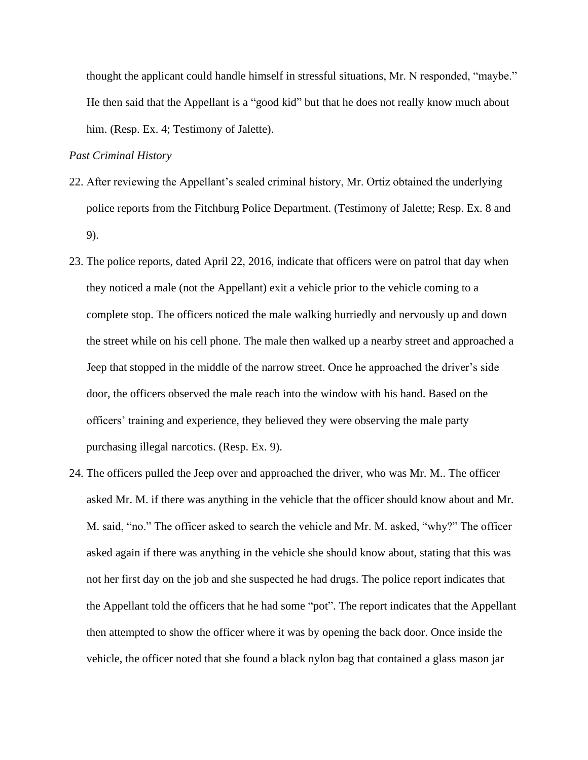thought the applicant could handle himself in stressful situations, Mr. N responded, "maybe." He then said that the Appellant is a "good kid" but that he does not really know much about him. (Resp. Ex. 4; Testimony of Jalette).

### *Past Criminal History*

- 22. After reviewing the Appellant's sealed criminal history, Mr. Ortiz obtained the underlying police reports from the Fitchburg Police Department. (Testimony of Jalette; Resp. Ex. 8 and 9).
- 23. The police reports, dated April 22, 2016, indicate that officers were on patrol that day when they noticed a male (not the Appellant) exit a vehicle prior to the vehicle coming to a complete stop. The officers noticed the male walking hurriedly and nervously up and down the street while on his cell phone. The male then walked up a nearby street and approached a Jeep that stopped in the middle of the narrow street. Once he approached the driver's side door, the officers observed the male reach into the window with his hand. Based on the officers' training and experience, they believed they were observing the male party purchasing illegal narcotics. (Resp. Ex. 9).
- 24. The officers pulled the Jeep over and approached the driver, who was Mr. M.. The officer asked Mr. M. if there was anything in the vehicle that the officer should know about and Mr. M. said, "no." The officer asked to search the vehicle and Mr. M. asked, "why?" The officer asked again if there was anything in the vehicle she should know about, stating that this was not her first day on the job and she suspected he had drugs. The police report indicates that the Appellant told the officers that he had some "pot". The report indicates that the Appellant then attempted to show the officer where it was by opening the back door. Once inside the vehicle, the officer noted that she found a black nylon bag that contained a glass mason jar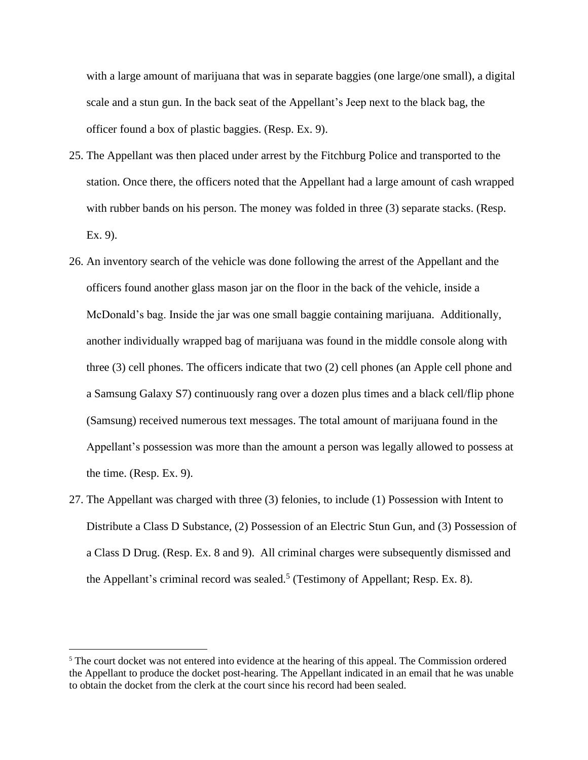with a large amount of marijuana that was in separate baggies (one large/one small), a digital scale and a stun gun. In the back seat of the Appellant's Jeep next to the black bag, the officer found a box of plastic baggies. (Resp. Ex. 9).

- 25. The Appellant was then placed under arrest by the Fitchburg Police and transported to the station. Once there, the officers noted that the Appellant had a large amount of cash wrapped with rubber bands on his person. The money was folded in three (3) separate stacks. (Resp. Ex. 9).
- 26. An inventory search of the vehicle was done following the arrest of the Appellant and the officers found another glass mason jar on the floor in the back of the vehicle, inside a McDonald's bag. Inside the jar was one small baggie containing marijuana. Additionally, another individually wrapped bag of marijuana was found in the middle console along with three (3) cell phones. The officers indicate that two (2) cell phones (an Apple cell phone and a Samsung Galaxy S7) continuously rang over a dozen plus times and a black cell/flip phone (Samsung) received numerous text messages. The total amount of marijuana found in the Appellant's possession was more than the amount a person was legally allowed to possess at the time. (Resp. Ex. 9).
- 27. The Appellant was charged with three (3) felonies, to include (1) Possession with Intent to Distribute a Class D Substance, (2) Possession of an Electric Stun Gun, and (3) Possession of a Class D Drug. (Resp. Ex. 8 and 9). All criminal charges were subsequently dismissed and the Appellant's criminal record was sealed.<sup>5</sup> (Testimony of Appellant; Resp. Ex. 8).

<sup>5</sup> The court docket was not entered into evidence at the hearing of this appeal. The Commission ordered the Appellant to produce the docket post-hearing. The Appellant indicated in an email that he was unable to obtain the docket from the clerk at the court since his record had been sealed.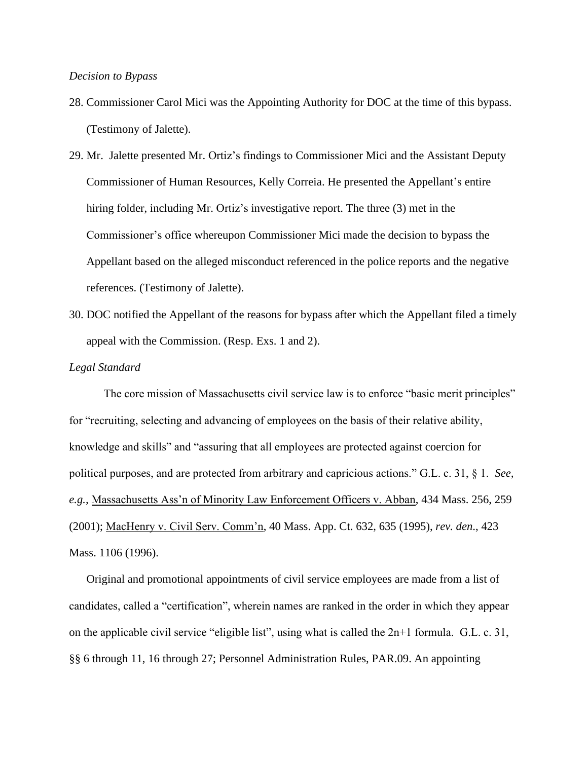### *Decision to Bypass*

28. Commissioner Carol Mici was the Appointing Authority for DOC at the time of this bypass. (Testimony of Jalette).

29. Mr. Jalette presented Mr. Ortiz's findings to Commissioner Mici and the Assistant Deputy Commissioner of Human Resources, Kelly Correia. He presented the Appellant's entire hiring folder, including Mr. Ortiz's investigative report. The three (3) met in the Commissioner's office whereupon Commissioner Mici made the decision to bypass the Appellant based on the alleged misconduct referenced in the police reports and the negative references. (Testimony of Jalette).

30. DOC notified the Appellant of the reasons for bypass after which the Appellant filed a timely appeal with the Commission. (Resp. Exs. 1 and 2).

#### *Legal Standard*

The core mission of Massachusetts civil service law is to enforce "basic merit principles" for "recruiting, selecting and advancing of employees on the basis of their relative ability, knowledge and skills" and "assuring that all employees are protected against coercion for political purposes, and are protected from arbitrary and capricious actions." G.L. c. 31, § 1. *See, e.g.,* Massachusetts Ass'n of Minority Law Enforcement Officers v. Abban, 434 Mass. 256, 259 (2001); MacHenry v. Civil Serv. Comm'n, 40 Mass. App. Ct. 632, 635 (1995), *rev. den*., 423 Mass. 1106 (1996).

Original and promotional appointments of civil service employees are made from a list of candidates, called a "certification", wherein names are ranked in the order in which they appear on the applicable civil service "eligible list", using what is called the 2n+1 formula. G.L. c. 31, §§ 6 through 11, 16 through 27; Personnel Administration Rules, PAR.09. An appointing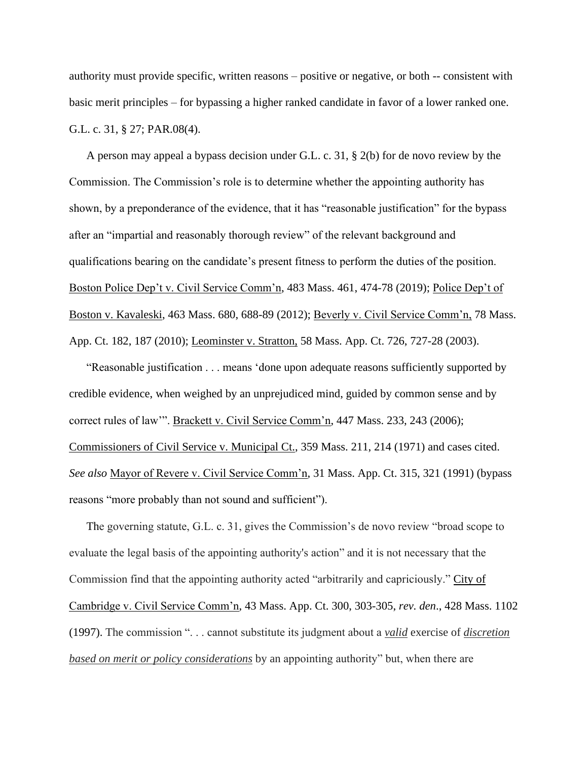authority must provide specific, written reasons – positive or negative, or both -- consistent with basic merit principles – for bypassing a higher ranked candidate in favor of a lower ranked one. G.L. c. 31, § 27; PAR.08(4).

A person may appeal a bypass decision under G.L. c. 31, § 2(b) for de novo review by the Commission. The Commission's role is to determine whether the appointing authority has shown, by a preponderance of the evidence, that it has "reasonable justification" for the bypass after an "impartial and reasonably thorough review" of the relevant background and qualifications bearing on the candidate's present fitness to perform the duties of the position. Boston Police Dep't v. Civil Service Comm'n, 483 Mass. 461, 474-78 (2019); Police Dep't of Boston v. Kavaleski, 463 Mass. 680, 688-89 (2012); Beverly v. Civil Service Comm'n, 78 Mass. App. Ct. 182, 187 (2010); Leominster v. Stratton, 58 Mass. App. Ct. 726, 727-28 (2003).

"Reasonable justification . . . means 'done upon adequate reasons sufficiently supported by credible evidence, when weighed by an unprejudiced mind, guided by common sense and by correct rules of law'". Brackett v. Civil Service Comm'n, 447 Mass. 233, 243 (2006); Commissioners of Civil Service v. Municipal Ct., 359 Mass. 211, 214 (1971) and cases cited. *See also* Mayor of Revere v. Civil Service Comm'n, 31 Mass. App. Ct. 315, 321 (1991) (bypass reasons "more probably than not sound and sufficient").

The governing statute, G.L. c. 31, gives the Commission's de novo review "broad scope to evaluate the legal basis of the appointing authority's action" and it is not necessary that the Commission find that the appointing authority acted "arbitrarily and capriciously." City of Cambridge v. Civil Service Comm'n, 43 Mass. App. Ct. 300, 303-305, *rev. den*., 428 Mass. 1102 (1997). The commission ". . . cannot substitute its judgment about a *valid* exercise of *discretion based on merit or policy considerations* by an appointing authority" but, when there are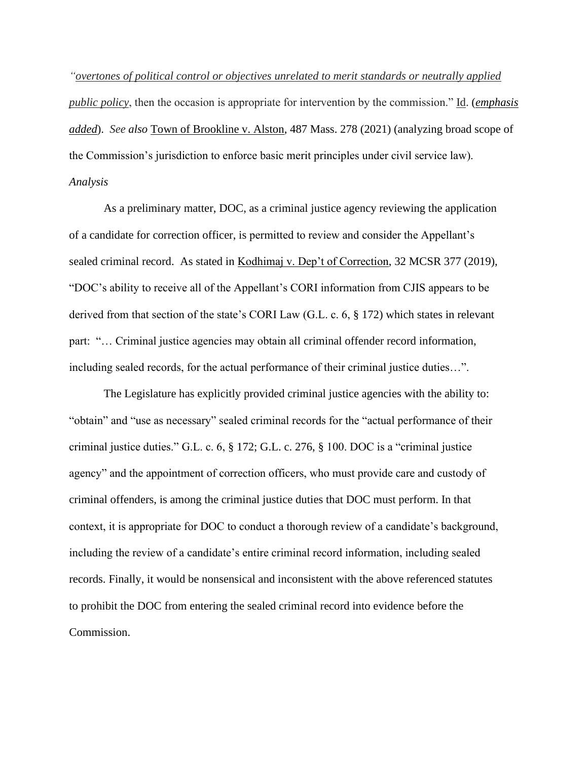*"overtones of political control or objectives unrelated to merit standards or neutrally applied public policy*, then the occasion is appropriate for intervention by the commission." Id. (*emphasis added*). *See also* Town of Brookline v. Alston, 487 Mass. 278 (2021) (analyzing broad scope of the Commission's jurisdiction to enforce basic merit principles under civil service law). *Analysis*

As a preliminary matter, DOC, as a criminal justice agency reviewing the application of a candidate for correction officer, is permitted to review and consider the Appellant's sealed criminal record. As stated in Kodhimaj v. Dep't of Correction, 32 MCSR 377 (2019), "DOC's ability to receive all of the Appellant's CORI information from CJIS appears to be derived from that section of the state's CORI Law (G.L. c. 6, § 172) which states in relevant part: "… Criminal justice agencies may obtain all criminal offender record information, including sealed records, for the actual performance of their criminal justice duties…".

The Legislature has explicitly provided criminal justice agencies with the ability to: "obtain" and "use as necessary" sealed criminal records for the "actual performance of their criminal justice duties." G.L. c. 6, § 172; G.L. c. 276, § 100. DOC is a "criminal justice agency" and the appointment of correction officers, who must provide care and custody of criminal offenders, is among the criminal justice duties that DOC must perform. In that context, it is appropriate for DOC to conduct a thorough review of a candidate's background, including the review of a candidate's entire criminal record information, including sealed records. Finally, it would be nonsensical and inconsistent with the above referenced statutes to prohibit the DOC from entering the sealed criminal record into evidence before the Commission.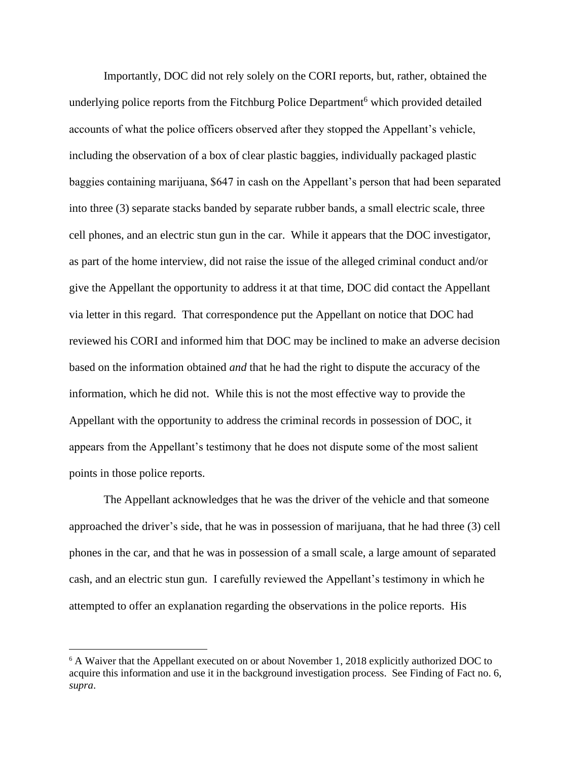Importantly, DOC did not rely solely on the CORI reports, but, rather, obtained the underlying police reports from the Fitchburg Police Department<sup>6</sup> which provided detailed accounts of what the police officers observed after they stopped the Appellant's vehicle, including the observation of a box of clear plastic baggies, individually packaged plastic baggies containing marijuana, \$647 in cash on the Appellant's person that had been separated into three (3) separate stacks banded by separate rubber bands, a small electric scale, three cell phones, and an electric stun gun in the car. While it appears that the DOC investigator, as part of the home interview, did not raise the issue of the alleged criminal conduct and/or give the Appellant the opportunity to address it at that time, DOC did contact the Appellant via letter in this regard. That correspondence put the Appellant on notice that DOC had reviewed his CORI and informed him that DOC may be inclined to make an adverse decision based on the information obtained *and* that he had the right to dispute the accuracy of the information, which he did not. While this is not the most effective way to provide the Appellant with the opportunity to address the criminal records in possession of DOC, it appears from the Appellant's testimony that he does not dispute some of the most salient points in those police reports.

The Appellant acknowledges that he was the driver of the vehicle and that someone approached the driver's side, that he was in possession of marijuana, that he had three (3) cell phones in the car, and that he was in possession of a small scale, a large amount of separated cash, and an electric stun gun. I carefully reviewed the Appellant's testimony in which he attempted to offer an explanation regarding the observations in the police reports. His

<sup>6</sup> A Waiver that the Appellant executed on or about November 1, 2018 explicitly authorized DOC to acquire this information and use it in the background investigation process. See Finding of Fact no. 6, *supra*.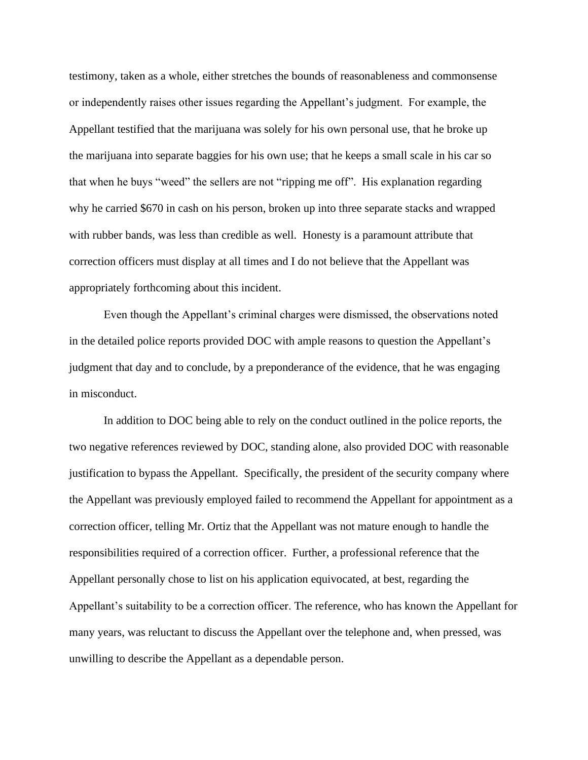testimony, taken as a whole, either stretches the bounds of reasonableness and commonsense or independently raises other issues regarding the Appellant's judgment. For example, the Appellant testified that the marijuana was solely for his own personal use, that he broke up the marijuana into separate baggies for his own use; that he keeps a small scale in his car so that when he buys "weed" the sellers are not "ripping me off". His explanation regarding why he carried \$670 in cash on his person, broken up into three separate stacks and wrapped with rubber bands, was less than credible as well. Honesty is a paramount attribute that correction officers must display at all times and I do not believe that the Appellant was appropriately forthcoming about this incident.

Even though the Appellant's criminal charges were dismissed, the observations noted in the detailed police reports provided DOC with ample reasons to question the Appellant's judgment that day and to conclude, by a preponderance of the evidence, that he was engaging in misconduct.

In addition to DOC being able to rely on the conduct outlined in the police reports, the two negative references reviewed by DOC, standing alone, also provided DOC with reasonable justification to bypass the Appellant. Specifically, the president of the security company where the Appellant was previously employed failed to recommend the Appellant for appointment as a correction officer, telling Mr. Ortiz that the Appellant was not mature enough to handle the responsibilities required of a correction officer. Further, a professional reference that the Appellant personally chose to list on his application equivocated, at best, regarding the Appellant's suitability to be a correction officer. The reference, who has known the Appellant for many years, was reluctant to discuss the Appellant over the telephone and, when pressed, was unwilling to describe the Appellant as a dependable person.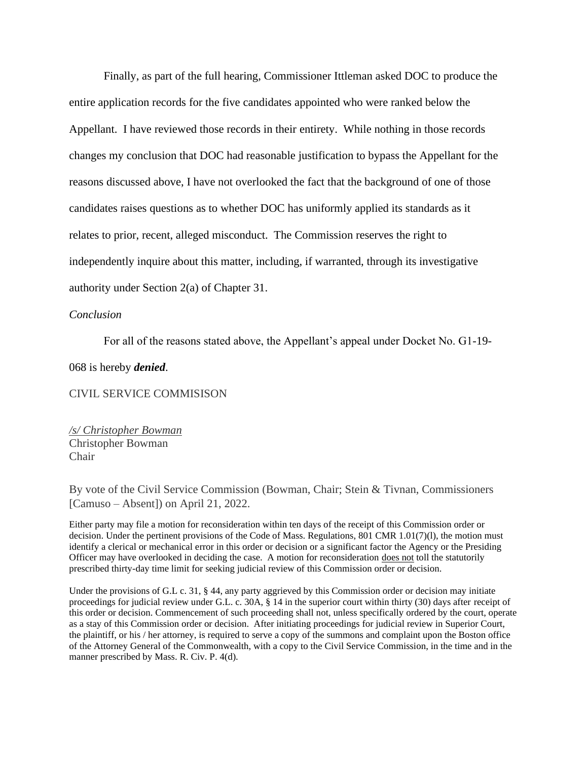Finally, as part of the full hearing, Commissioner Ittleman asked DOC to produce the entire application records for the five candidates appointed who were ranked below the Appellant. I have reviewed those records in their entirety. While nothing in those records changes my conclusion that DOC had reasonable justification to bypass the Appellant for the reasons discussed above, I have not overlooked the fact that the background of one of those candidates raises questions as to whether DOC has uniformly applied its standards as it relates to prior, recent, alleged misconduct. The Commission reserves the right to independently inquire about this matter, including, if warranted, through its investigative authority under Section 2(a) of Chapter 31.

### *Conclusion*

For all of the reasons stated above, the Appellant's appeal under Docket No. G1-19-

068 is hereby *denied*.

CIVIL SERVICE COMMISISON

*/s/ Christopher Bowman* Christopher Bowman Chair

By vote of the Civil Service Commission (Bowman, Chair; Stein & Tivnan, Commissioners [Camuso – Absent]) on April 21, 2022.

Either party may file a motion for reconsideration within ten days of the receipt of this Commission order or decision. Under the pertinent provisions of the Code of Mass. Regulations, 801 CMR 1.01(7)(l), the motion must identify a clerical or mechanical error in this order or decision or a significant factor the Agency or the Presiding Officer may have overlooked in deciding the case. A motion for reconsideration does not toll the statutorily prescribed thirty-day time limit for seeking judicial review of this Commission order or decision.

Under the provisions of G.L c. 31, § 44, any party aggrieved by this Commission order or decision may initiate proceedings for judicial review under G.L. c. 30A, § 14 in the superior court within thirty (30) days after receipt of this order or decision. Commencement of such proceeding shall not, unless specifically ordered by the court, operate as a stay of this Commission order or decision. After initiating proceedings for judicial review in Superior Court, the plaintiff, or his / her attorney, is required to serve a copy of the summons and complaint upon the Boston office of the Attorney General of the Commonwealth, with a copy to the Civil Service Commission, in the time and in the manner prescribed by Mass. R. Civ. P. 4(d).